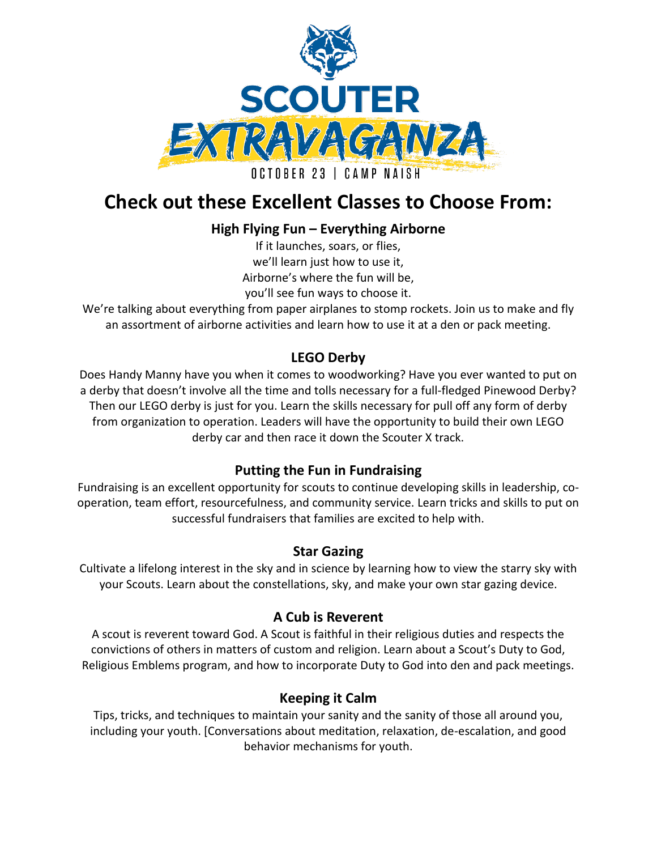

# **Check out these Excellent Classes to Choose From:**

# **High Flying Fun – Everything Airborne**

If it launches, soars, or flies, we'll learn just how to use it, Airborne's where the fun will be, you'll see fun ways to choose it.

We're talking about everything from paper airplanes to stomp rockets. Join us to make and fly an assortment of airborne activities and learn how to use it at a den or pack meeting.

# **LEGO Derby**

Does Handy Manny have you when it comes to woodworking? Have you ever wanted to put on a derby that doesn't involve all the time and tolls necessary for a full-fledged Pinewood Derby? Then our LEGO derby is just for you. Learn the skills necessary for pull off any form of derby from organization to operation. Leaders will have the opportunity to build their own LEGO derby car and then race it down the Scouter X track.

## **Putting the Fun in Fundraising**

Fundraising is an excellent opportunity for scouts to continue developing skills in leadership, cooperation, team effort, resourcefulness, and community service. Learn tricks and skills to put on successful fundraisers that families are excited to help with.

## **Star Gazing**

Cultivate a lifelong interest in the sky and in science by learning how to view the starry sky with your Scouts. Learn about the constellations, sky, and make your own star gazing device.

## **A Cub is Reverent**

A scout is reverent toward God. A Scout is faithful in their religious duties and respects the convictions of others in matters of custom and religion. Learn about a Scout's Duty to God, Religious Emblems program, and how to incorporate Duty to God into den and pack meetings.

## **Keeping it Calm**

Tips, tricks, and techniques to maintain your sanity and the sanity of those all around you, including your youth. [Conversations about meditation, relaxation, de-escalation, and good behavior mechanisms for youth.